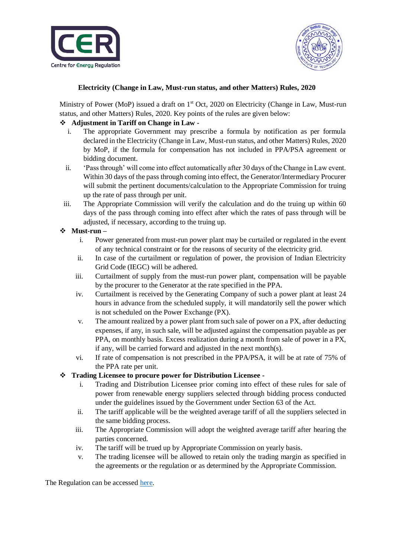



# **Electricity (Change in Law, Must-run status, and other Matters) Rules, 2020**

Ministry of Power (MoP) issued a draft on 1<sup>st</sup> Oct, 2020 on Electricity (Change in Law, Must-run status, and other Matters) Rules, 2020. Key points of the rules are given below:

# **Adjustment in Tariff on Change in Law -**

- i. The appropriate Government may prescribe a formula by notification as per formula declared in the Electricity (Change in Law, Must-run status, and other Matters) Rules, 2020 by MoP, if the formula for compensation has not included in PPA/PSA agreement or bidding document.
- ii. 'Pass through' will come into effect automatically after 30 days of the Change in Law event. Within 30 days of the pass through coming into effect, the Generator/Intermediary Procurer will submit the pertinent documents/calculation to the Appropriate Commission for truing up the rate of pass through per unit.
- iii. The Appropriate Commission will verify the calculation and do the truing up within 60 days of the pass through coming into effect after which the rates of pass through will be adjusted, if necessary, according to the truing up.

## **Must-run –**

- i. Power generated from must-run power plant may be curtailed or regulated in the event of any technical constraint or for the reasons of security of the electricity grid.
- ii. In case of the curtailment or regulation of power, the provision of Indian Electricity Grid Code (IEGC) will be adhered.
- iii. Curtailment of supply from the must-run power plant, compensation will be payable by the procurer to the Generator at the rate specified in the PPA.
- iv. Curtailment is received by the Generating Company of such a power plant at least 24 hours in advance from the scheduled supply, it will mandatorily sell the power which is not scheduled on the Power Exchange (PX).
- v. The amount realized by a power plant from such sale of power on a PX, after deducting expenses, if any, in such sale, will be adjusted against the compensation payable as per PPA, on monthly basis. Excess realization during a month from sale of power in a PX, if any, will be carried forward and adjusted in the next month(s).
- vi. If rate of compensation is not prescribed in the PPA/PSA, it will be at rate of 75% of the PPA rate per unit.

# **Trading Licensee to procure power for Distribution Licensee -**

- i. Trading and Distribution Licensee prior coming into effect of these rules for sale of power from renewable energy suppliers selected through bidding process conducted under the guidelines issued by the Government under Section 63 of the Act.
- ii. The tariff applicable will be the weighted average tariff of all the suppliers selected in the same bidding process.
- iii. The Appropriate Commission will adopt the weighted average tariff after hearing the parties concerned.
- iv. The tariff will be trued up by Appropriate Commission on yearly basis.
- v. The trading licensee will be allowed to retain only the trading margin as specified in the agreements or the regulation or as determined by the Appropriate Commission.

The Regulation can be accessed [here.](https://cer.iitk.ac.in/odf_assets/upload_files/Draft_Electricity_Change_in_Law_Must_run_status_and_other_Matters_Rules_2020.pdf)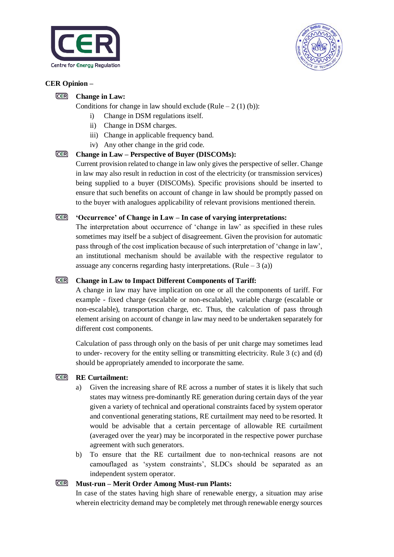



### **CER Opinion –**

#### **CER Change in Law:**

Conditions for change in law should exclude (Rule – 2 (1) (b)):

- i) Change in DSM regulations itself.
- ii) Change in DSM charges.
- iii) Change in applicable frequency band.
- iv) Any other change in the grid code.

### **Change in Law – Perspective of Buyer (DISCOMs):**

Current provision related to change in law only gives the perspective of seller. Change in law may also result in reduction in cost of the electricity (or transmission services) being supplied to a buyer (DISCOMs). Specific provisions should be inserted to ensure that such benefits on account of change in law should be promptly passed on to the buyer with analogues applicability of relevant provisions mentioned therein.

#### CER **'Occurrence' of Change in Law – In case of varying interpretations:**

The interpretation about occurrence of 'change in law' as specified in these rules sometimes may itself be a subject of disagreement. Given the provision for automatic pass through of the cost implication because of such interpretation of 'change in law', an institutional mechanism should be available with the respective regulator to assuage any concerns regarding hasty interpretations. (Rule  $-3$  (a))

### **Change in Law to Impact Different Components of Tariff:**

A change in law may have implication on one or all the components of tariff. For example - fixed charge (escalable or non-escalable), variable charge (escalable or non-escalable), transportation charge, etc. Thus, the calculation of pass through element arising on account of change in law may need to be undertaken separately for different cost components.

Calculation of pass through only on the basis of per unit charge may sometimes lead to under- recovery for the entity selling or transmitting electricity. Rule 3 (c) and (d) should be appropriately amended to incorporate the same.

### **RE Curtailment:**

- a) Given the increasing share of RE across a number of states it is likely that such states may witness pre-dominantly RE generation during certain days of the year given a variety of technical and operational constraints faced by system operator and conventional generating stations, RE curtailment may need to be resorted. It would be advisable that a certain percentage of allowable RE curtailment (averaged over the year) may be incorporated in the respective power purchase agreement with such generators.
- b) To ensure that the RE curtailment due to non-technical reasons are not camouflaged as 'system constraints', SLDCs should be separated as an independent system operator.

#### **CER Must-run – Merit Order Among Must-run Plants:**

In case of the states having high share of renewable energy, a situation may arise wherein electricity demand may be completely met through renewable energy sources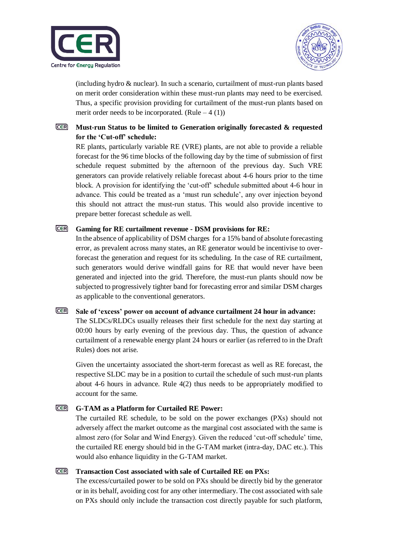



(including hydro & nuclear). In such a scenario, curtailment of must-run plants based on merit order consideration within these must-run plants may need to be exercised. Thus, a specific provision providing for curtailment of the must-run plants based on merit order needs to be incorporated. (Rule  $-4(1)$ )

### CER **Must-run Status to be limited to Generation originally forecasted & requested for the 'Cut-off' schedule:**

RE plants, particularly variable RE (VRE) plants, are not able to provide a reliable forecast for the 96 time blocks of the following day by the time of submission of first schedule request submitted by the afternoon of the previous day. Such VRE generators can provide relatively reliable forecast about 4-6 hours prior to the time block. A provision for identifying the 'cut-off' schedule submitted about 4-6 hour in advance. This could be treated as a 'must run schedule', any over injection beyond this should not attract the must-run status. This would also provide incentive to prepare better forecast schedule as well.

### **Gaming for RE curtailment revenue - DSM provisions for RE:**

In the absence of applicability of DSM charges for a 15% band of absolute forecasting error, as prevalent across many states, an RE generator would be incentivise to overforecast the generation and request for its scheduling. In the case of RE curtailment, such generators would derive windfall gains for RE that would never have been generated and injected into the grid. Therefore, the must-run plants should now be subjected to progressively tighter band for forecasting error and similar DSM charges as applicable to the conventional generators.

#### CER **Sale of 'excess' power on account of advance curtailment 24 hour in advance:**

The SLDCs/RLDCs usually releases their first schedule for the next day starting at 00:00 hours by early evening of the previous day. Thus, the question of advance curtailment of a renewable energy plant 24 hours or earlier (as referred to in the Draft Rules) does not arise.

Given the uncertainty associated the short-term forecast as well as RE forecast, the respective SLDC may be in a position to curtail the schedule of such must-run plants about 4-6 hours in advance. Rule 4(2) thus needs to be appropriately modified to account for the same.

#### **CER G-TAM as a Platform for Curtailed RE Power:**

The curtailed RE schedule, to be sold on the power exchanges (PXs) should not adversely affect the market outcome as the marginal cost associated with the same is almost zero (for Solar and Wind Energy). Given the reduced 'cut-off schedule' time, the curtailed RE energy should bid in the G-TAM market (intra-day, DAC etc.). This would also enhance liquidity in the G-TAM market.

#### **CER Transaction Cost associated with sale of Curtailed RE on PXs:**

The excess/curtailed power to be sold on PXs should be directly bid by the generator or in its behalf, avoiding cost for any other intermediary. The cost associated with sale on PXs should only include the transaction cost directly payable for such platform,